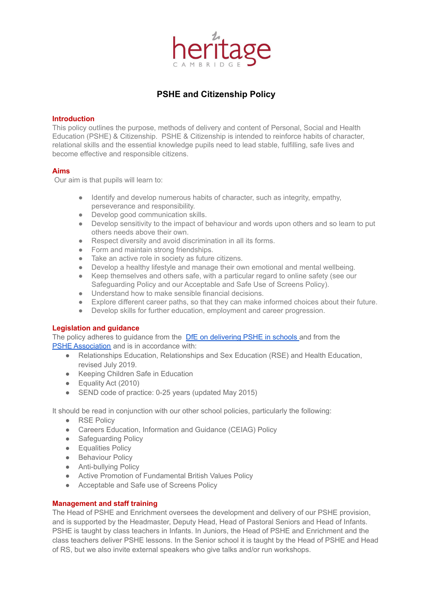

# **PSHE and Citizenship Policy**

#### **Introduction**

This policy outlines the purpose, methods of delivery and content of Personal, Social and Health Education (PSHE) & Citizenship. PSHE & Citizenship is intended to reinforce habits of character, relational skills and the essential knowledge pupils need to lead stable, fulfilling, safe lives and become effective and responsible citizens.

#### **Aims**

Our aim is that pupils will learn to:

- Identify and develop numerous habits of character, such as integrity, empathy, perseverance and responsibility.
- Develop good communication skills.
- Develop sensitivity to the impact of behaviour and words upon others and so learn to put others needs above their own.
- Respect diversity and avoid discrimination in all its forms.
- Form and maintain strong friendships.
- Take an active role in society as future citizens.
- Develop a healthy lifestyle and manage their own emotional and mental wellbeing.
- Keep themselves and others safe, with a particular regard to online safety (see our
- Safeguarding Policy and our Acceptable and Safe Use of Screens Policy). ● Understand how to make sensible financial decisions.
- Explore different career paths, so that they can make informed choices about their future.
- Develop skills for further education, employment and career progression.

# **Legislation and guidance**

The policy adheres to guidance from the DfE on [delivering](https://www.gov.uk/government/publications/personal-social-health-and-economic-education-pshe/personal-social-health-and-economic-pshe-education) PSHE in schools and from the PSHE Association and is in [accordance](https://www.pshe-association.org.uk/curriculum) with:

- Relationships Education, Relationships and Sex Education (RSE) and Health Education, revised July 2019.
- Keeping Children Safe in Education
- Equality Act (2010)
- SEND code of practice: 0-25 years (updated May 2015)

It should be read in conjunction with our other school policies, particularly the following:

- RSE Policy
- Careers Education, Information and Guidance (CEIAG) Policy
- Safequarding Policy
- **•** Equalities Policy
- Behaviour Policy
- Anti-bullying Policy
- Active Promotion of Fundamental British Values Policy
- Acceptable and Safe use of Screens Policy

# **Management and staff training**

The Head of PSHE and Enrichment oversees the development and delivery of our PSHE provision, and is supported by the Headmaster, Deputy Head, Head of Pastoral Seniors and Head of Infants. PSHE is taught by class teachers in Infants. In Juniors, the Head of PSHE and Enrichment and the class teachers deliver PSHE lessons. In the Senior school it is taught by the Head of PSHE and Head of RS, but we also invite external speakers who give talks and/or run workshops.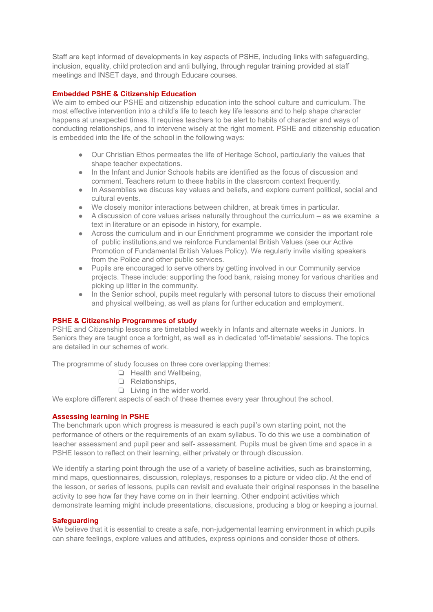Staff are kept informed of developments in key aspects of PSHE, including links with safeguarding, inclusion, equality, child protection and anti bullying, through regular training provided at staff meetings and INSET days, and through Educare courses.

# **Embedded PSHE & Citizenship Education**

We aim to embed our PSHE and citizenship education into the school culture and curriculum. The most effective intervention into a child's life to teach key life lessons and to help shape character happens at unexpected times. It requires teachers to be alert to habits of character and ways of conducting relationships, and to intervene wisely at the right moment. PSHE and citizenship education is embedded into the life of the school in the following ways:

- Our Christian Ethos permeates the life of Heritage School, particularly the values that shape teacher expectations.
- In the Infant and Junior Schools habits are identified as the focus of discussion and comment. Teachers return to these habits in the classroom context frequently.
- In Assemblies we discuss key values and beliefs, and explore current political, social and cultural events.
- We closely monitor interactions between children, at break times in particular.
- A discussion of core values arises naturally throughout the curriculum as we examine a text in literature or an episode in history, for example.
- Across the curriculum and in our Enrichment programme we consider the important role of public institutions,and we reinforce Fundamental British Values (see our Active Promotion of Fundamental British Values Policy). We regularly invite visiting speakers from the Police and other public services.
- Pupils are encouraged to serve others by getting involved in our Community service projects. These include: supporting the food bank, raising money for various charities and picking up litter in the community.
- In the Senior school, pupils meet regularly with personal tutors to discuss their emotional and physical wellbeing, as well as plans for further education and employment.

# **PSHE & Citizenship Programmes of study**

PSHE and Citizenship lessons are timetabled weekly in Infants and alternate weeks in Juniors. In Seniors they are taught once a fortnight, as well as in dedicated 'off-timetable' sessions. The topics are detailed in our schemes of work.

The programme of study focuses on three core overlapping themes:

- ❏ Health and Wellbeing,
- ❏ Relationships,
- ❏ Living in the wider world.

We explore different aspects of each of these themes every year throughout the school.

# **Assessing learning in PSHE**

The benchmark upon which progress is measured is each pupil's own starting point, not the performance of others or the requirements of an exam syllabus. To do this we use a combination of teacher assessment and pupil peer and self- assessment. Pupils must be given time and space in a PSHE lesson to reflect on their learning, either privately or through discussion.

We identify a starting point through the use of a variety of baseline activities, such as brainstorming, mind maps, questionnaires, discussion, roleplays, responses to a picture or video clip. At the end of the lesson, or series of lessons, pupils can revisit and evaluate their original responses in the baseline activity to see how far they have come on in their learning. Other endpoint activities which demonstrate learning might include presentations, discussions, producing a blog or keeping a journal.

#### **Safeguarding**

We believe that it is essential to create a safe, non-judgemental learning environment in which pupils can share feelings, explore values and attitudes, express opinions and consider those of others.